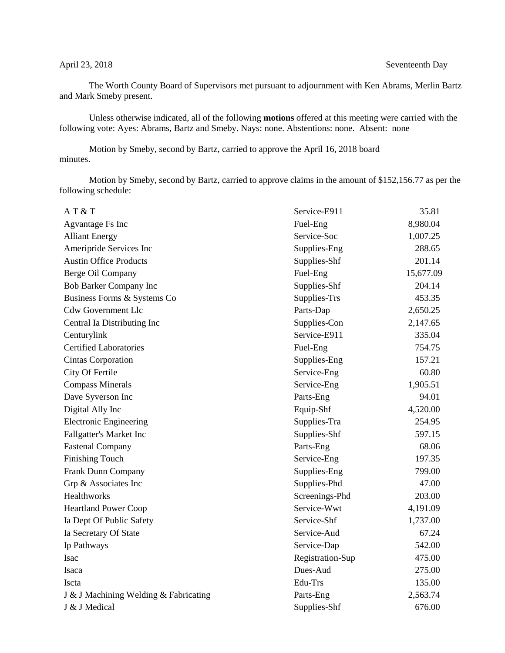## April 23, 2018 Seventeenth Day

The Worth County Board of Supervisors met pursuant to adjournment with Ken Abrams, Merlin Bartz and Mark Smeby present.

Unless otherwise indicated, all of the following **motions** offered at this meeting were carried with the following vote: Ayes: Abrams, Bartz and Smeby. Nays: none. Abstentions: none. Absent: none

Motion by Smeby, second by Bartz, carried to approve the April 16, 2018 board minutes.

Motion by Smeby, second by Bartz, carried to approve claims in the amount of \$152,156.77 as per the following schedule:

| AT & T                                | Service-E911     | 35.81     |
|---------------------------------------|------------------|-----------|
| <b>Agvantage Fs Inc</b>               | Fuel-Eng         | 8,980.04  |
| <b>Alliant Energy</b>                 | Service-Soc      | 1,007.25  |
| Ameripride Services Inc               | Supplies-Eng     | 288.65    |
| <b>Austin Office Products</b>         | Supplies-Shf     | 201.14    |
| Berge Oil Company                     | Fuel-Eng         | 15,677.09 |
| Bob Barker Company Inc                | Supplies-Shf     | 204.14    |
| Business Forms & Systems Co           | Supplies-Trs     | 453.35    |
| <b>Cdw Government Llc</b>             | Parts-Dap        | 2,650.25  |
| Central Ia Distributing Inc           | Supplies-Con     | 2,147.65  |
| Centurylink                           | Service-E911     | 335.04    |
| <b>Certified Laboratories</b>         | Fuel-Eng         | 754.75    |
| <b>Cintas Corporation</b>             | Supplies-Eng     | 157.21    |
| City Of Fertile                       | Service-Eng      | 60.80     |
| <b>Compass Minerals</b>               | Service-Eng      | 1,905.51  |
| Dave Syverson Inc                     | Parts-Eng        | 94.01     |
| Digital Ally Inc                      | Equip-Shf        | 4,520.00  |
| Electronic Engineering                | Supplies-Tra     | 254.95    |
| Fallgatter's Market Inc               | Supplies-Shf     | 597.15    |
| <b>Fastenal Company</b>               | Parts-Eng        | 68.06     |
| <b>Finishing Touch</b>                | Service-Eng      | 197.35    |
| Frank Dunn Company                    | Supplies-Eng     | 799.00    |
| Grp & Associates Inc                  | Supplies-Phd     | 47.00     |
| Healthworks                           | Screenings-Phd   | 203.00    |
| <b>Heartland Power Coop</b>           | Service-Wwt      | 4,191.09  |
| Ia Dept Of Public Safety              | Service-Shf      | 1,737.00  |
| Ia Secretary Of State                 | Service-Aud      | 67.24     |
| Ip Pathways                           | Service-Dap      | 542.00    |
| Isac                                  | Registration-Sup | 475.00    |
| Isaca                                 | Dues-Aud         | 275.00    |
| Iscta                                 | Edu-Trs          | 135.00    |
| J & J Machining Welding & Fabricating | Parts-Eng        | 2,563.74  |
| J & J Medical                         | Supplies-Shf     | 676.00    |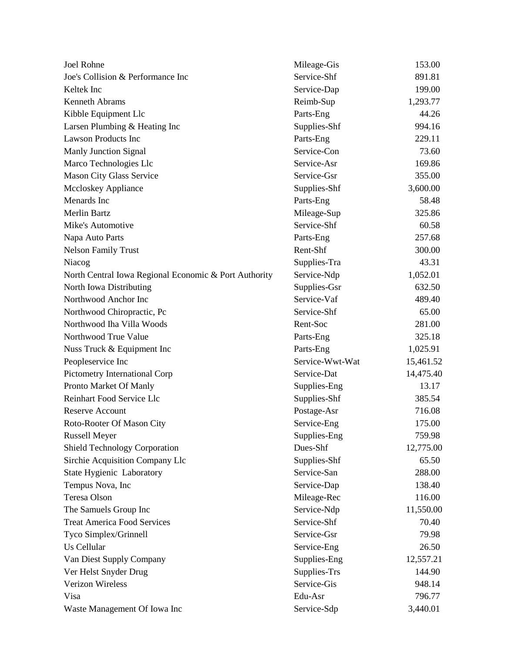| Joel Rohne                                            | Mileage-Gis     | 153.00    |
|-------------------------------------------------------|-----------------|-----------|
| Joe's Collision & Performance Inc                     | Service-Shf     | 891.81    |
| Keltek Inc                                            | Service-Dap     | 199.00    |
| Kenneth Abrams                                        | Reimb-Sup       | 1,293.77  |
| Kibble Equipment Llc                                  | Parts-Eng       | 44.26     |
| Larsen Plumbing & Heating Inc                         | Supplies-Shf    | 994.16    |
| <b>Lawson Products Inc</b>                            | Parts-Eng       | 229.11    |
| <b>Manly Junction Signal</b>                          | Service-Con     | 73.60     |
| Marco Technologies Llc                                | Service-Asr     | 169.86    |
| Mason City Glass Service                              | Service-Gsr     | 355.00    |
| <b>Mccloskey Appliance</b>                            | Supplies-Shf    | 3,600.00  |
| Menards Inc                                           | Parts-Eng       | 58.48     |
| <b>Merlin Bartz</b>                                   | Mileage-Sup     | 325.86    |
| Mike's Automotive                                     | Service-Shf     | 60.58     |
| Napa Auto Parts                                       | Parts-Eng       | 257.68    |
| <b>Nelson Family Trust</b>                            | Rent-Shf        | 300.00    |
| Niacog                                                | Supplies-Tra    | 43.31     |
| North Central Iowa Regional Economic & Port Authority | Service-Ndp     | 1,052.01  |
| North Iowa Distributing                               | Supplies-Gsr    | 632.50    |
| Northwood Anchor Inc                                  | Service-Vaf     | 489.40    |
| Northwood Chiropractic, Pc                            | Service-Shf     | 65.00     |
| Northwood Iha Villa Woods                             | Rent-Soc        | 281.00    |
| Northwood True Value                                  | Parts-Eng       | 325.18    |
| Nuss Truck & Equipment Inc                            | Parts-Eng       | 1,025.91  |
| Peopleservice Inc                                     | Service-Wwt-Wat | 15,461.52 |
| Pictometry International Corp                         | Service-Dat     | 14,475.40 |
| Pronto Market Of Manly                                | Supplies-Eng    | 13.17     |
| Reinhart Food Service Llc                             | Supplies-Shf    | 385.54    |
| <b>Reserve Account</b>                                | Postage-Asr     | 716.08    |
| Roto-Rooter Of Mason City                             | Service-Eng     | 175.00    |
| <b>Russell Meyer</b>                                  | Supplies-Eng    | 759.98    |
| <b>Shield Technology Corporation</b>                  | Dues-Shf        | 12,775.00 |
| Sirchie Acquisition Company Llc                       | Supplies-Shf    | 65.50     |
| State Hygienic Laboratory                             | Service-San     | 288.00    |
| Tempus Nova, Inc                                      | Service-Dap     | 138.40    |
| Teresa Olson                                          | Mileage-Rec     | 116.00    |
| The Samuels Group Inc                                 | Service-Ndp     | 11,550.00 |
| <b>Treat America Food Services</b>                    | Service-Shf     | 70.40     |
| Tyco Simplex/Grinnell                                 | Service-Gsr     | 79.98     |
| Us Cellular                                           | Service-Eng     | 26.50     |
| Van Diest Supply Company                              | Supplies-Eng    | 12,557.21 |
| Ver Helst Snyder Drug                                 | Supplies-Trs    | 144.90    |
| Verizon Wireless                                      | Service-Gis     | 948.14    |
| Visa                                                  | Edu-Asr         | 796.77    |
| Waste Management Of Iowa Inc                          | Service-Sdp     | 3,440.01  |